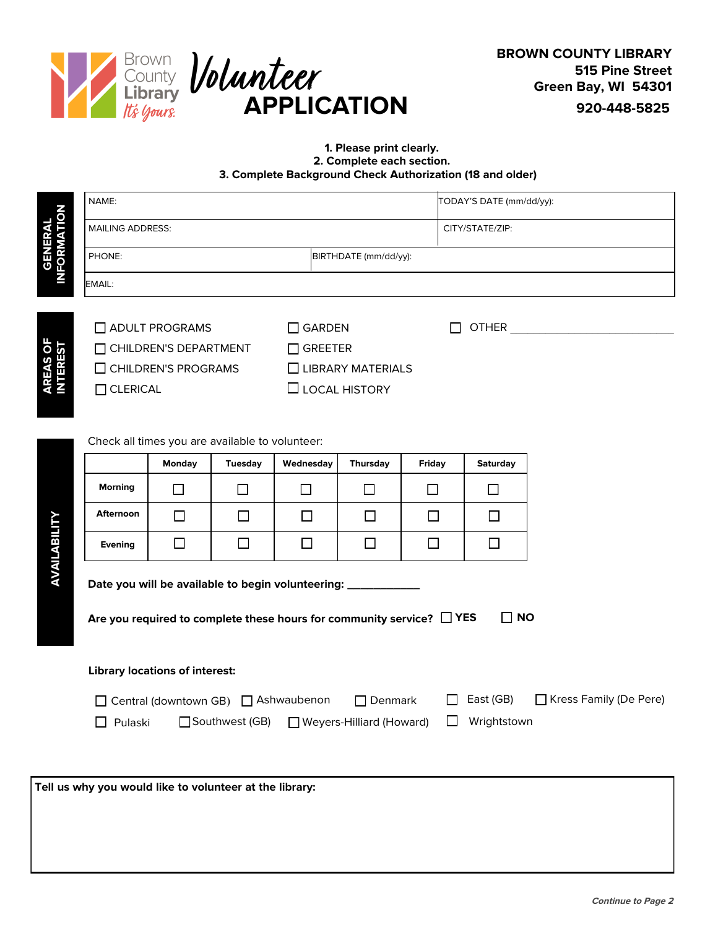

## **1. Please print clearly. 2. Complete each section. 3. Complete Background Check Authorization (18 and older)**

|                                                                                                                                                                              | NAME:                                                                                            |                                                 |                |                                                                                                |                          |               | TODAY'S DATE (mm/dd/yy): |  |  |
|------------------------------------------------------------------------------------------------------------------------------------------------------------------------------|--------------------------------------------------------------------------------------------------|-------------------------------------------------|----------------|------------------------------------------------------------------------------------------------|--------------------------|---------------|--------------------------|--|--|
| <b>GENERAL<br/>INFORMATION</b>                                                                                                                                               | <b>MAILING ADDRESS:</b>                                                                          |                                                 |                |                                                                                                |                          |               | CITY/STATE/ZIP:          |  |  |
|                                                                                                                                                                              | BIRTHDATE (mm/dd/yy):<br>PHONE:                                                                  |                                                 |                |                                                                                                |                          |               |                          |  |  |
|                                                                                                                                                                              | EMAIL:                                                                                           |                                                 |                |                                                                                                |                          |               |                          |  |  |
| <b>AREAS OF<br/>INTEREST</b>                                                                                                                                                 |                                                                                                  | $\Box$ ADULT PROGRAMS<br>CHILDREN'S DEPARTMENT  |                | $\Box$ GARDEN<br>OTHER <u>Andreas and the second service</u><br>$\mathsf{L}$<br>$\Box$ GREETER |                          |               |                          |  |  |
|                                                                                                                                                                              |                                                                                                  | $\Box$ CHILDREN'S PROGRAMS                      |                |                                                                                                | $\Box$ LIBRARY MATERIALS |               |                          |  |  |
|                                                                                                                                                                              | $\Box$ CLERICAL                                                                                  |                                                 |                | $\Box$ LOCAL HISTORY                                                                           |                          |               |                          |  |  |
|                                                                                                                                                                              |                                                                                                  | Check all times you are available to volunteer: |                |                                                                                                |                          |               |                          |  |  |
|                                                                                                                                                                              |                                                                                                  | <b>Monday</b>                                   | <b>Tuesday</b> | Wednesday                                                                                      | <b>Thursday</b>          | <b>Friday</b> | <b>Saturday</b>          |  |  |
|                                                                                                                                                                              | <b>Morning</b>                                                                                   | $\mathsf{L}$                                    | ⊔              | $\Box$                                                                                         | $\Box$                   | $\Box$        | $\Box$                   |  |  |
|                                                                                                                                                                              | <b>Afternoon</b>                                                                                 | $\mathsf{I}$                                    | $\mathsf{L}$   | $\mathsf{L}$                                                                                   | $\mathbf{I}$             | $\Box$        | $\mathsf{L}$             |  |  |
|                                                                                                                                                                              | <b>Evening</b>                                                                                   | $\vert \ \ \vert$                               | $\Box$         | $\mathsf{I}$                                                                                   | $\mathbf{I}$             | $\Box$        | $\Box$                   |  |  |
| AVAILABILITY<br>Date you will be available to begin volunteering: ____________<br>$\square$ NO<br>Are you required to complete these hours for community service? $\Box$ YES |                                                                                                  |                                                 |                |                                                                                                |                          |               |                          |  |  |
|                                                                                                                                                                              |                                                                                                  |                                                 |                |                                                                                                |                          |               |                          |  |  |
|                                                                                                                                                                              | <b>Library locations of interest:</b>                                                            |                                                 |                |                                                                                                |                          |               |                          |  |  |
|                                                                                                                                                                              | □ Kress Family (De Pere)<br>□ Central (downtown GB) □ Ashwaubenon<br>East (GB)<br>$\Box$ Denmark |                                                 |                |                                                                                                |                          |               |                          |  |  |
|                                                                                                                                                                              | Pulaski<br>Southwest (GB)<br>Weyers-Hilliard (Howard)<br>Wrightstown                             |                                                 |                |                                                                                                |                          |               |                          |  |  |
|                                                                                                                                                                              |                                                                                                  |                                                 |                |                                                                                                |                          |               |                          |  |  |
|                                                                                                                                                                              |                                                                                                  |                                                 |                |                                                                                                |                          |               |                          |  |  |
|                                                                                                                                                                              | Tell us why you would like to volunteer at the library:                                          |                                                 |                |                                                                                                |                          |               |                          |  |  |